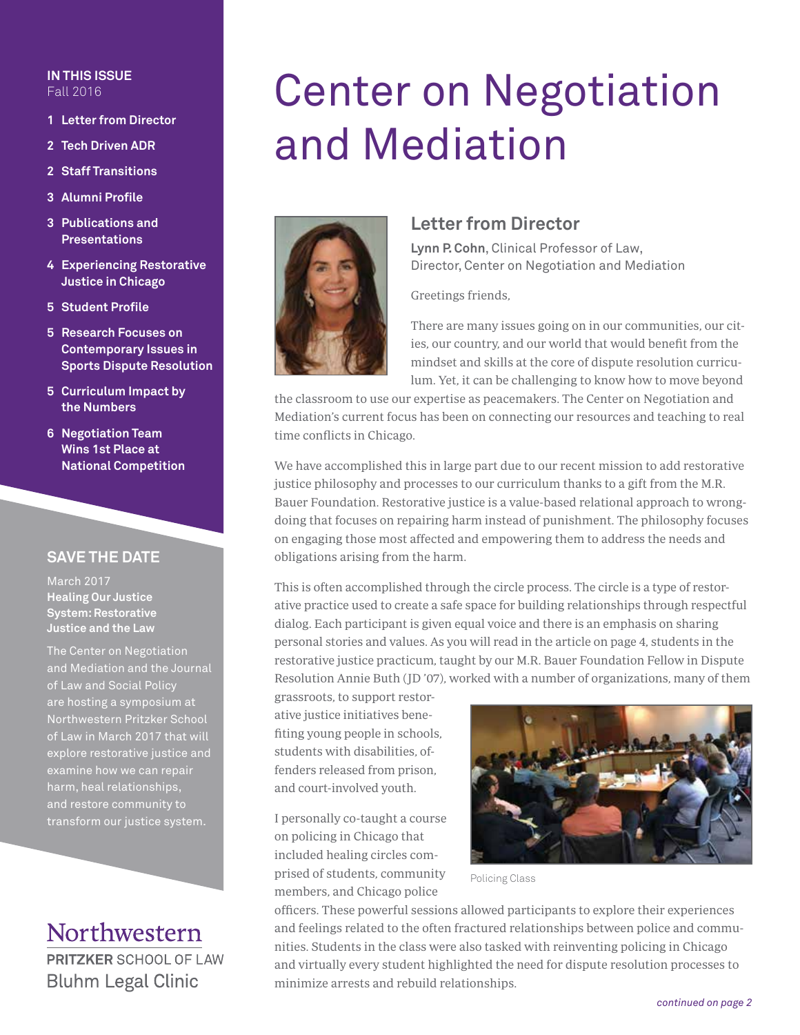### **IN THIS ISSUE** Fall 2016

- **1 Letter from Director**
- **2 Tech Driven ADR**
- **2 Staff Transitions**
- **3 Alumni Profile**
- **3 Publications and Presentations**
- **4 Experiencing Restorative Justice in Chicago**
- **5 Student Profile**
- **5 Research Focuses on Contemporary Issues in Sports Dispute Resolution**
- **5 Curriculum Impact by the Numbers**
- **6 Negotiation Team Wins 1st Place at National Competition**

## **SAVE THE DATE**

March 2017 **Healing Our Justice System: Restorative Justice and the Law** 

The Center on Negotiation and Mediation and the Journal of Law and Social Policy are hosting a symposium at Northwestern Pritzker School of Law in March 2017 that will explore restorative justice and examine how we can repair harm, heal relationships, and restore community to transform our justice system.

# Northwestern **PRITZKER SCHOOL OF LAW Bluhm Legal Clinic**

# Center on Negotiation and Mediation



## **Letter from Director**

**Lynn P. Cohn**, Clinical Professor of Law, Director, Center on Negotiation and Mediation

Greetings friends,

There are many issues going on in our communities, our cities, our country, and our world that would benefit from the mindset and skills at the core of dispute resolution curriculum. Yet, it can be challenging to know how to move beyond

the classroom to use our expertise as peacemakers. The Center on Negotiation and Mediation's current focus has been on connecting our resources and teaching to real time conflicts in Chicago.

We have accomplished this in large part due to our recent mission to add restorative justice philosophy and processes to our curriculum thanks to a gift from the M.R. Bauer Foundation. Restorative justice is a value-based relational approach to wrongdoing that focuses on repairing harm instead of punishment. The philosophy focuses on engaging those most affected and empowering them to address the needs and obligations arising from the harm.

This is often accomplished through the circle process. The circle is a type of restorative practice used to create a safe space for building relationships through respectful dialog. Each participant is given equal voice and there is an emphasis on sharing personal stories and values. As you will read in the article on page 4, students in the restorative justice practicum, taught by our M.R. Bauer Foundation Fellow in Dispute Resolution Annie Buth (JD '07), worked with a number of organizations, many of them

grassroots, to support restorative justice initiatives benefiting young people in schools, students with disabilities, offenders released from prison, and court-involved youth.

I personally co-taught a course on policing in Chicago that included healing circles comprised of students, community members, and Chicago police



Policing Class

officers. These powerful sessions allowed participants to explore their experiences and feelings related to the often fractured relationships between police and communities. Students in the class were also tasked with reinventing policing in Chicago and virtually every student highlighted the need for dispute resolution processes to minimize arrests and rebuild relationships.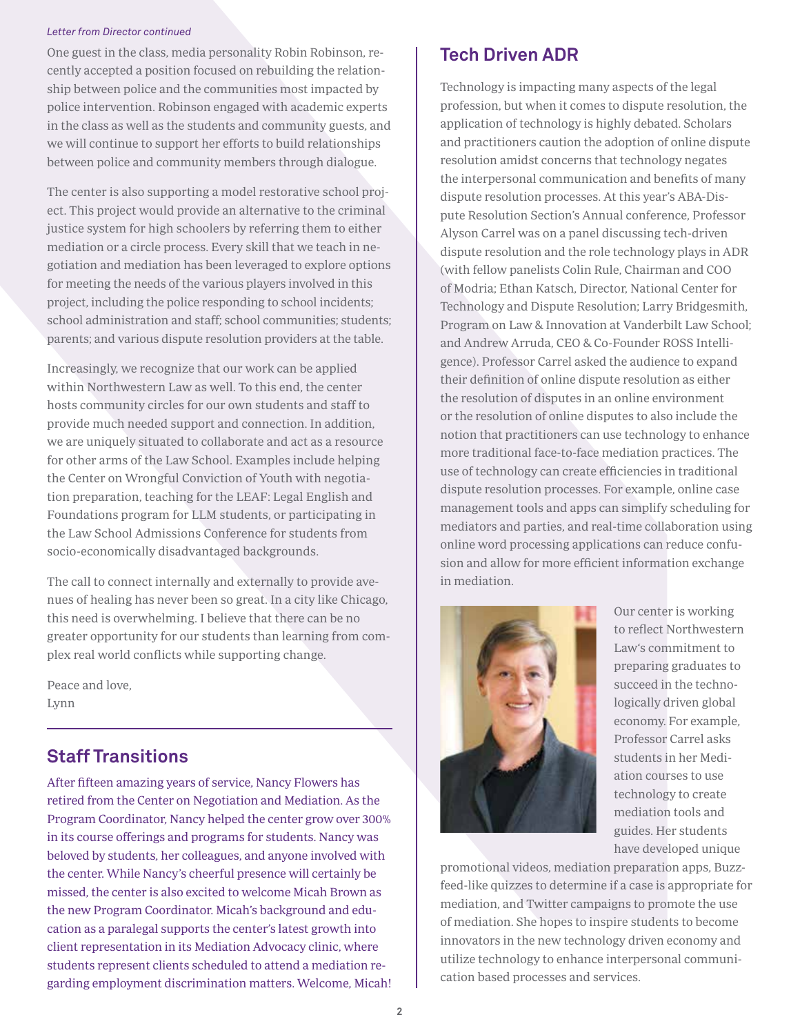#### *Letter from Director continued*

One guest in the class, media personality Robin Robinson, recently accepted a position focused on rebuilding the relationship between police and the communities most impacted by police intervention. Robinson engaged with academic experts in the class as well as the students and community guests, and we will continue to support her efforts to build relationships between police and community members through dialogue.

The center is also supporting a model restorative school project. This project would provide an alternative to the criminal justice system for high schoolers by referring them to either mediation or a circle process. Every skill that we teach in negotiation and mediation has been leveraged to explore options for meeting the needs of the various players involved in this project, including the police responding to school incidents; school administration and staff; school communities; students; parents; and various dispute resolution providers at the table.

Increasingly, we recognize that our work can be applied within Northwestern Law as well. To this end, the center hosts community circles for our own students and staff to provide much needed support and connection. In addition, we are uniquely situated to collaborate and act as a resource for other arms of the Law School. Examples include helping the Center on Wrongful Conviction of Youth with negotiation preparation, teaching for the LEAF: Legal English and Foundations program for LLM students, or participating in the Law School Admissions Conference for students from socio-economically disadvantaged backgrounds.

The call to connect internally and externally to provide avenues of healing has never been so great. In a city like Chicago, this need is overwhelming. I believe that there can be no greater opportunity for our students than learning from complex real world conflicts while supporting change.

Peace and love, Lynn

# **Staff Transitions**

After fifteen amazing years of service, Nancy Flowers has retired from the Center on Negotiation and Mediation. As the Program Coordinator, Nancy helped the center grow over 300% in its course offerings and programs for students. Nancy was beloved by students, her colleagues, and anyone involved with the center. While Nancy's cheerful presence will certainly be missed, the center is also excited to welcome Micah Brown as the new Program Coordinator. Micah's background and education as a paralegal supports the center's latest growth into client representation in its Mediation Advocacy clinic, where students represent clients scheduled to attend a mediation regarding employment discrimination matters. Welcome, Micah!

# **Tech Driven ADR**

Technology is impacting many aspects of the legal profession, but when it comes to dispute resolution, the application of technology is highly debated. Scholars and practitioners caution the adoption of online dispute resolution amidst concerns that technology negates the interpersonal communication and benefits of many dispute resolution processes. At this year's ABA-Dispute Resolution Section's Annual conference, Professor Alyson Carrel was on a panel discussing tech-driven dispute resolution and the role technology plays in ADR (with fellow panelists Colin Rule, Chairman and COO of Modria; Ethan Katsch, Director, National Center for Technology and Dispute Resolution; Larry Bridgesmith, Program on Law & Innovation at Vanderbilt Law School; and Andrew Arruda, CEO & Co-Founder ROSS Intelligence). Professor Carrel asked the audience to expand their definition of online dispute resolution as either the resolution of disputes in an online environment or the resolution of online disputes to also include the notion that practitioners can use technology to enhance more traditional face-to-face mediation practices. The use of technology can create efficiencies in traditional dispute resolution processes. For example, online case management tools and apps can simplify scheduling for mediators and parties, and real-time collaboration using online word processing applications can reduce confusion and allow for more efficient information exchange in mediation.



Our center is working to reflect Northwestern Law's commitment to preparing graduates to succeed in the technologically driven global economy. For example, Professor Carrel asks students in her Mediation courses to use technology to create mediation tools and guides. Her students have developed unique

promotional videos, mediation preparation apps, Buzzfeed-like quizzes to determine if a case is appropriate for mediation, and Twitter campaigns to promote the use of mediation. She hopes to inspire students to become innovators in the new technology driven economy and utilize technology to enhance interpersonal communication based processes and services.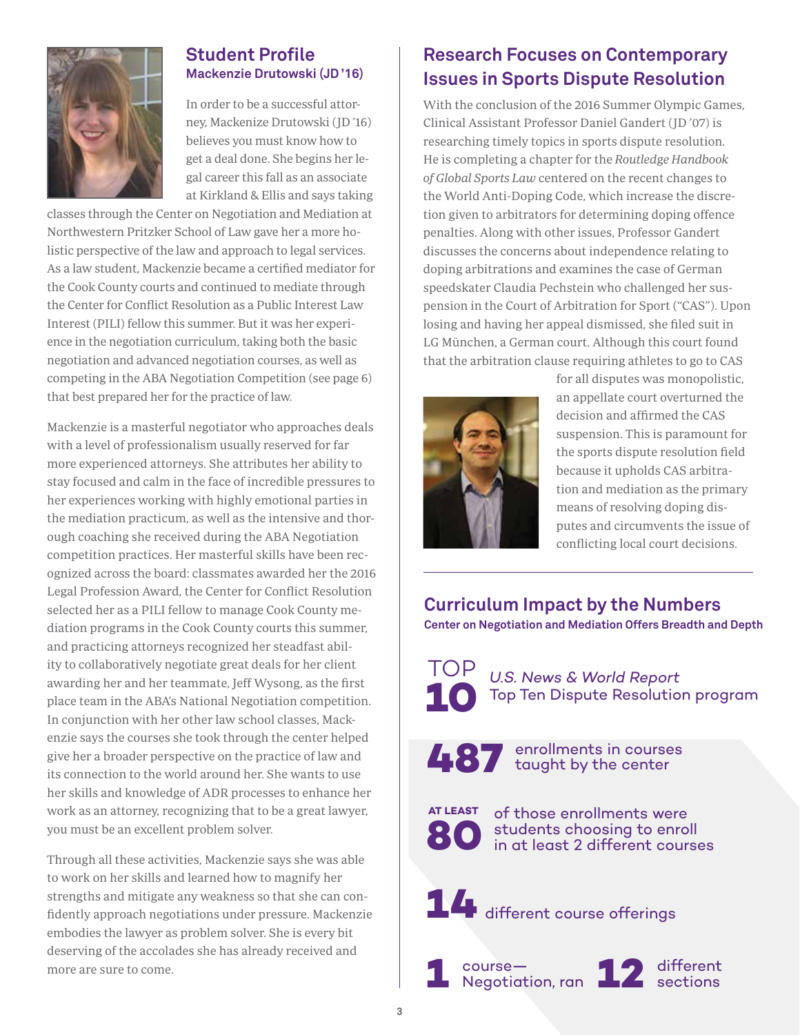

## **Student Profile Mackenzie Drutowski (JD '16)**

In order to be a successful attorney, Mackenize Drutowski (JD '16) believes you must know how to get a deal done. She begins her legal career this fall as an associate at Kirkland & Ellis and says taking

classes through the Center on Negotiation and Mediation at Northwestern Pritzker School of Law gave her a more holistic perspective of the law and approach to legal services. As a law student, Mackenzie became a certified mediator for the Cook County courts and continued to mediate through the Center for Conflict Resolution as a Public Interest Law Interest (PILI) fellow this summer. But it was her experience in the negotiation curriculum, taking both the basic negotiation and advanced negotiation courses, as well as competing in the ABA Negotiation Competition (see page 6) that best prepared her for the practice of law.

Mackenzie is a masterful negotiator who approaches deals with a level of professionalism usually reserved for far more experienced attorneys. She attributes her ability to stay focused and calm in the face of incredible pressures to her experiences working with highly emotional parties in the mediation practicum, as well as the intensive and thorough coaching she received during the ABA Negotiation competition practices. Her masterful skills have been recognized across the board: classmates awarded her the 2016 Legal Profession Award, the Center for Conflict Resolution selected her as a PILI fellow to manage Cook County mediation programs in the Cook County courts this summer, and practicing attorneys recognized her steadfast ability to collaboratively negotiate great deals for her client awarding her and her teammate, Jeff Wysong, as the first place team in the ABA's National Negotiation competition. In conjunction with her other law school classes, Mackenzie says the courses she took through the center helped give her a broader perspective on the practice of law and its connection to the world around her. She wants to use her skills and knowledge of ADR processes to enhance her work as an attorney, recognizing that to be a great lawyer, you must be an excellent problem solver.

Through all these activities, Mackenzie says she was able to work on her skills and learned how to magnify her strengths and mitigate any weakness so that she can confidently approach negotiations under pressure. Mackenzie embodies the lawyer as problem solver. She is every bit deserving of the accolades she has already received and more are sure to come.

# **Research Focuses on Contemporary Issues in Sports Dispute Resolution**

With the conclusion of the 2016 Summer Olympic Games, Clinical Assistant Professor Daniel Gandert (JD '07) is researching timely topics in sports dispute resolution. He is completing a chapter for the Routledge Handbook of Global Sports Law centered on the recent changes to the World Anti-Doping Code, which increase the discretion given to arbitrators for determining doping offence penalties. Along with other issues, Professor Gandert discusses the concerns about independence relating to doping arbitrations and examines the case of German speedskater Claudia Pechstein who challenged her suspension in the Court of Arbitration for Sport ("CAS"). Upon losing and having her appeal dismissed, she filed suit in LG München, a German court. Although this court found that the arbitration clause requiring athletes to go to CAS



for all disputes was monopolistic, an appellate court overturned the decision and affirmed the CAS suspension. This is paramount for the sports dispute resolution field because it upholds CAS arbitration and mediation as the primary means of resolving doping disputes and circumvents the issue of conflicting local court decisions.

**Curriculum Impact by the Numbers Center on Negotiation and Mediation Offers Breadth and Depth**

TOP **10** *U.S. News & World Report*  Top Ten Dispute Resolution program

**487** enrollments in courses taught by the center

of those enrollments were students choosing to enroll in at least 2 different courses

14 different course offerings



**80**

**AT LEAST** 



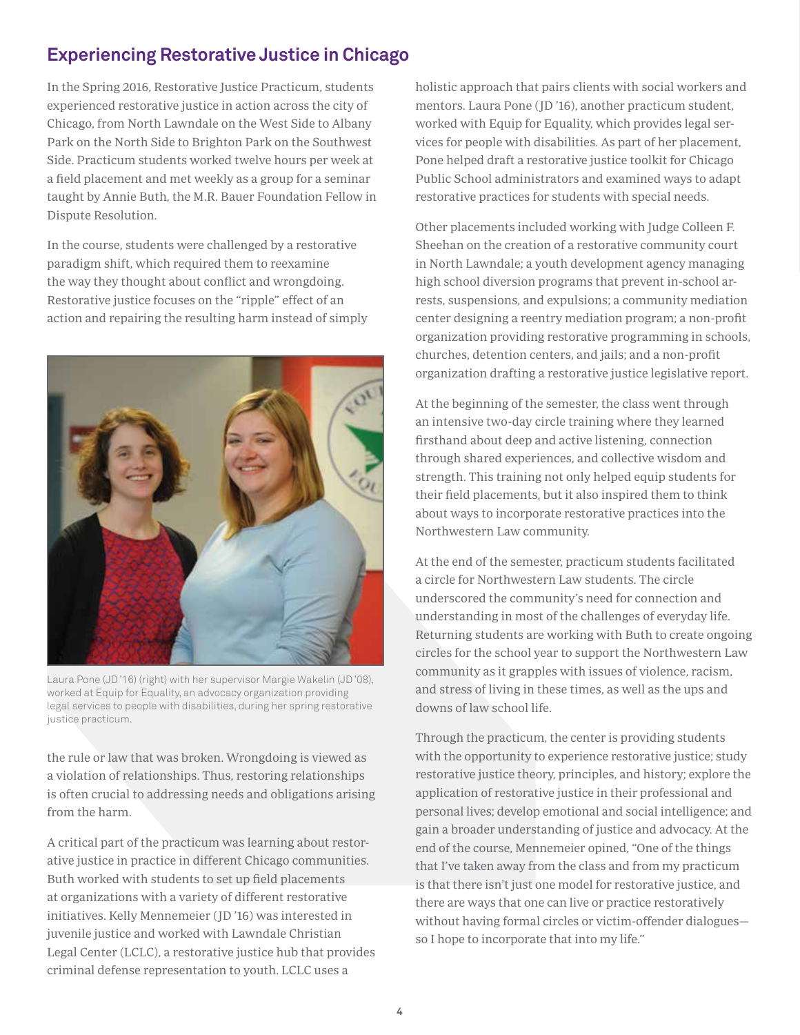# **Experiencing Restorative Justice in Chicago**

In the Spring 2016, Restorative Justice Practicum, students experienced restorative justice in action across the city of Chicago, from North Lawndale on the West Side to Albany Park on the North Side to Brighton Park on the Southwest Side. Practicum students worked twelve hours per week at a field placement and met weekly as a group for a seminar taught by Annie Buth, the M.R. Bauer Foundation Fellow in Dispute Resolution.

In the course, students were challenged by a restorative paradigm shift, which required them to reexamine the way they thought about conflict and wrongdoing. Restorative justice focuses on the "ripple" effect of an action and repairing the resulting harm instead of simply



Laura Pone (JD '16) (right) with her supervisor Margie Wakelin (JD '08), worked at Equip for Equality, an advocacy organization providing legal services to people with disabilities, during her spring restorative justice practicum.

the rule or law that was broken. Wrongdoing is viewed as a violation of relationships. Thus, restoring relationships is often crucial to addressing needs and obligations arising from the harm.

A critical part of the practicum was learning about restorative justice in practice in different Chicago communities. Buth worked with students to set up field placements at organizations with a variety of different restorative initiatives. Kelly Mennemeier (JD '16) was interested in juvenile justice and worked with Lawndale Christian Legal Center (LCLC), a restorative justice hub that provides criminal defense representation to youth. LCLC uses a

holistic approach that pairs clients with social workers and mentors. Laura Pone (JD '16), another practicum student, worked with Equip for Equality, which provides legal services for people with disabilities. As part of her placement, Pone helped draft a restorative justice toolkit for Chicago Public School administrators and examined ways to adapt restorative practices for students with special needs.

Other placements included working with Judge Colleen F. Sheehan on the creation of a restorative community court in North Lawndale; a youth development agency managing high school diversion programs that prevent in-school arrests, suspensions, and expulsions; a community mediation center designing a reentry mediation program; a non-profit organization providing restorative programming in schools, churches, detention centers, and jails; and a non-profit organization drafting a restorative justice legislative report.

At the beginning of the semester, the class went through an intensive two-day circle training where they learned firsthand about deep and active listening, connection through shared experiences, and collective wisdom and strength. This training not only helped equip students for their field placements, but it also inspired them to think about ways to incorporate restorative practices into the Northwestern Law community.

At the end of the semester, practicum students facilitated a circle for Northwestern Law students. The circle underscored the community's need for connection and understanding in most of the challenges of everyday life. Returning students are working with Buth to create ongoing circles for the school year to support the Northwestern Law community as it grapples with issues of violence, racism, and stress of living in these times, as well as the ups and downs of law school life.

Through the practicum, the center is providing students with the opportunity to experience restorative justice; study restorative justice theory, principles, and history; explore the application of restorative justice in their professional and personal lives; develop emotional and social intelligence; and gain a broader understanding of justice and advocacy. At the end of the course, Mennemeier opined, "One of the things that I've taken away from the class and from my practicum is that there isn't just one model for restorative justice, and there are ways that one can live or practice restoratively without having formal circles or victim-offender dialogues so I hope to incorporate that into my life."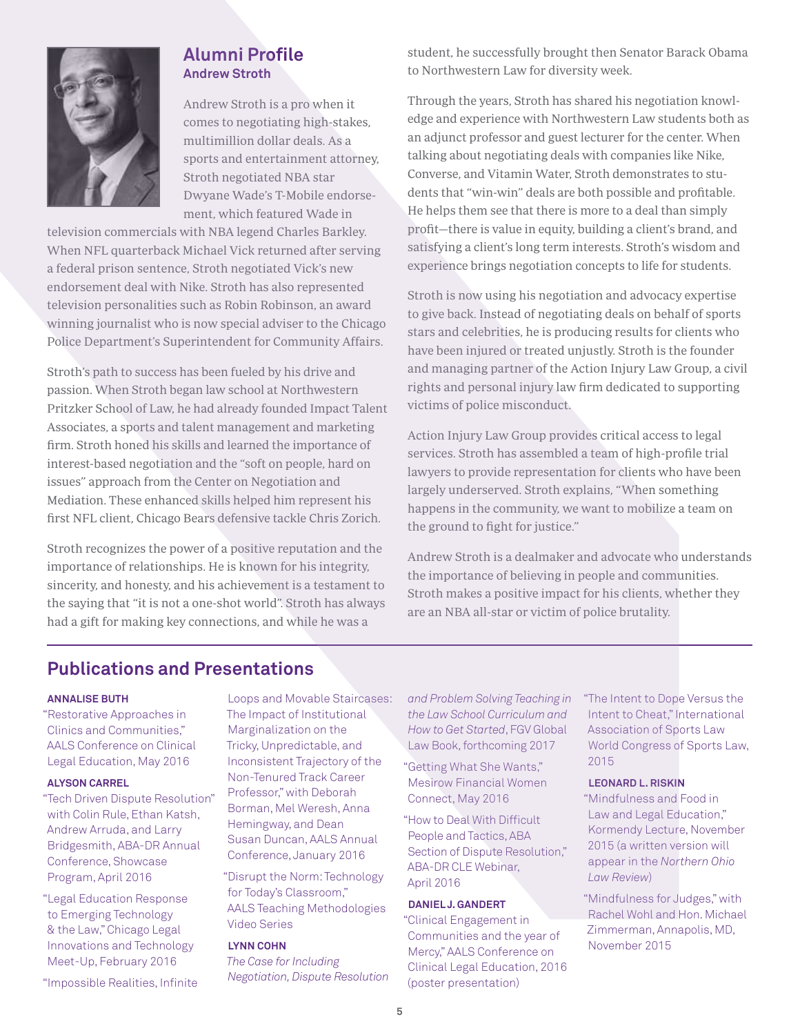

## **Alumni Profile Andrew Stroth**

Andrew Stroth is a pro when it comes to negotiating high-stakes, multimillion dollar deals. As a sports and entertainment attorney, Stroth negotiated NBA star Dwyane Wade's T-Mobile endorsement, which featured Wade in

television commercials with NBA legend Charles Barkley. When NFL quarterback Michael Vick returned after serving a federal prison sentence, Stroth negotiated Vick's new endorsement deal with Nike. Stroth has also represented television personalities such as Robin Robinson, an award winning journalist who is now special adviser to the Chicago Police Department's Superintendent for Community Affairs.

Stroth's path to success has been fueled by his drive and passion. When Stroth began law school at Northwestern Pritzker School of Law, he had already founded Impact Talent Associates, a sports and talent management and marketing firm. Stroth honed his skills and learned the importance of interest-based negotiation and the "soft on people, hard on issues" approach from the Center on Negotiation and Mediation. These enhanced skills helped him represent his first NFL client, Chicago Bears defensive tackle Chris Zorich.

Stroth recognizes the power of a positive reputation and the importance of relationships. He is known for his integrity, sincerity, and honesty, and his achievement is a testament to the saying that "it is not a one-shot world". Stroth has always had a gift for making key connections, and while he was a

student, he successfully brought then Senator Barack Obama to Northwestern Law for diversity week.

Through the years, Stroth has shared his negotiation knowledge and experience with Northwestern Law students both as an adjunct professor and guest lecturer for the center. When talking about negotiating deals with companies like Nike, Converse, and Vitamin Water, Stroth demonstrates to students that "win-win" deals are both possible and profitable. He helps them see that there is more to a deal than simply profit—there is value in equity, building a client's brand, and satisfying a client's long term interests. Stroth's wisdom and experience brings negotiation concepts to life for students.

Stroth is now using his negotiation and advocacy expertise to give back. Instead of negotiating deals on behalf of sports stars and celebrities, he is producing results for clients who have been injured or treated unjustly. Stroth is the founder and managing partner of the Action Injury Law Group, a civil rights and personal injury law firm dedicated to supporting victims of police misconduct.

Action Injury Law Group provides critical access to legal services. Stroth has assembled a team of high-profile trial lawyers to provide representation for clients who have been largely underserved. Stroth explains, "When something happens in the community, we want to mobilize a team on the ground to fight for justice."

Andrew Stroth is a dealmaker and advocate who understands the importance of believing in people and communities. Stroth makes a positive impact for his clients, whether they are an NBA all-star or victim of police brutality.

# **Publications and Presentations**

## **ANNALISE BUTH**

"Restorative Approaches in Clinics and Communities," AALS Conference on Clinical Legal Education, May 2016

#### **ALYSON CARREL**

"Tech Driven Dispute Resolution" with Colin Rule, Ethan Katsh, Andrew Arruda, and Larry Bridgesmith, ABA-DR Annual Conference, Showcase Program, April 2016

"Legal Education Response to Emerging Technology & the Law," Chicago Legal Innovations and Technology Meet-Up, February 2016

"Impossible Realities, Infinite

Loops and Movable Staircases: The Impact of Institutional Marginalization on the Tricky, Unpredictable, and Inconsistent Trajectory of the Non-Tenured Track Career Professor," with Deborah Borman, Mel Weresh, Anna Hemingway, and Dean Susan Duncan, AALS Annual Conference, January 2016

"Disrupt the Norm: Technology for Today's Classroom," AALS Teaching Methodologies Video Series

## **LYNN COHN**

*The Case for Including Negotiation, Dispute Resolution*  *and Problem Solving Teaching in the Law School Curriculum and How to Get Started*, FGV Global Law Book, forthcoming 2017

"Getting What She Wants," Mesirow Financial Women Connect, May 2016

"How to Deal With Difficult People and Tactics, ABA Section of Dispute Resolution," ABA-DR CLE Webinar, April 2016

## **DANIEL J. GANDERT**

"Clinical Engagement in Communities and the year of Mercy," AALS Conference on Clinical Legal Education, 2016 (poster presentation)

"The Intent to Dope Versus the Intent to Cheat," International Association of Sports Law World Congress of Sports Law, 2015

## **LEONARD L. RISKIN**

"Mindfulness and Food in Law and Legal Education," Kormendy Lecture, November 2015 (a written version will appear in the *Northern Ohio Law Review*)

"Mindfulness for Judges," with Rachel Wohl and Hon. Michael Zimmerman, Annapolis, MD, November 2015